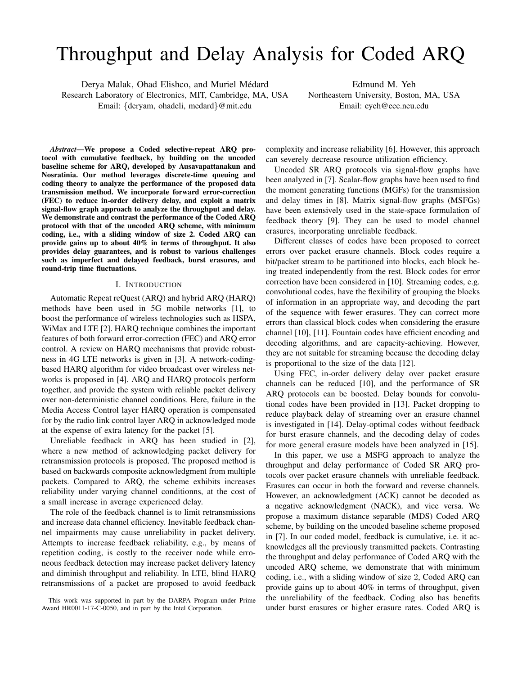# Throughput and Delay Analysis for Coded ARQ

Derya Malak, Ohad Elishco, and Muriel Médard Research Laboratory of Electronics, MIT, Cambridge, MA, USA Email: {deryam, ohadeli, medard}@mit.edu

Edmund M. Yeh Northeastern University, Boston, MA, USA Email: eyeh@ece.neu.edu

*Abstract*—We propose a Coded selective-repeat ARQ protocol with cumulative feedback, by building on the uncoded baseline scheme for ARQ, developed by Ausavapattanakun and Nosratinia. Our method leverages discrete-time queuing and coding theory to analyze the performance of the proposed data transmission method. We incorporate forward error-correction (FEC) to reduce in-order delivery delay, and exploit a matrix signal-flow graph approach to analyze the throughput and delay. We demonstrate and contrast the performance of the Coded ARQ protocol with that of the uncoded ARQ scheme, with minimum coding, i.e., with a sliding window of size 2. Coded ARQ can provide gains up to about 40% in terms of throughput. It also provides delay guarantees, and is robust to various challenges such as imperfect and delayed feedback, burst erasures, and round-trip time fluctuations.

## I. INTRODUCTION

Automatic Repeat reQuest (ARQ) and hybrid ARQ (HARQ) methods have been used in 5G mobile networks [1], to boost the performance of wireless technologies such as HSPA, WiMax and LTE [2]. HARQ technique combines the important features of both forward error-correction (FEC) and ARQ error control. A review on HARQ mechanisms that provide robustness in 4G LTE networks is given in [3]. A network-codingbased HARQ algorithm for video broadcast over wireless networks is proposed in [4]. ARQ and HARQ protocols perform together, and provide the system with reliable packet delivery over non-deterministic channel conditions. Here, failure in the Media Access Control layer HARQ operation is compensated for by the radio link control layer ARQ in acknowledged mode at the expense of extra latency for the packet [5].

Unreliable feedback in ARQ has been studied in [2], where a new method of acknowledging packet delivery for retransmission protocols is proposed. The proposed method is based on backwards composite acknowledgment from multiple packets. Compared to ARQ, the scheme exhibits increases reliability under varying channel conditionns, at the cost of a small increase in average experienced delay.

The role of the feedback channel is to limit retransmissions and increase data channel efficiency. Inevitable feedback channel impairments may cause unreliability in packet delivery. Attempts to increase feedback reliability, e.g., by means of repetition coding, is costly to the receiver node while erroneous feedback detection may increase packet delivery latency and diminish throughput and reliability. In LTE, blind HARQ retransmissions of a packet are proposed to avoid feedback complexity and increase reliability [6]. However, this approach can severely decrease resource utilization efficiency.

Uncoded SR ARQ protocols via signal-flow graphs have been analyzed in [7]. Scalar-flow graphs have been used to find the moment generating functions (MGFs) for the transmission and delay times in [8]. Matrix signal-flow graphs (MSFGs) have been extensively used in the state-space formulation of feedback theory [9]. They can be used to model channel erasures, incorporating unreliable feedback.

Different classes of codes have been proposed to correct errors over packet erasure channels. Block codes require a bit/packet stream to be partitioned into blocks, each block being treated independently from the rest. Block codes for error correction have been considered in [10]. Streaming codes, e.g. convolutional codes, have the flexibility of grouping the blocks of information in an appropriate way, and decoding the part of the sequence with fewer erasures. They can correct more errors than classical block codes when considering the erasure channel [10], [11]. Fountain codes have efficient encoding and decoding algorithms, and are capacity-achieving. However, they are not suitable for streaming because the decoding delay is proportional to the size of the data [12].

Using FEC, in-order delivery delay over packet erasure channels can be reduced [10], and the performance of SR ARQ protocols can be boosted. Delay bounds for convolutional codes have been provided in [13]. Packet dropping to reduce playback delay of streaming over an erasure channel is investigated in [14]. Delay-optimal codes without feedback for burst erasure channels, and the decoding delay of codes for more general erasure models have been analyzed in [15].

In this paper, we use a MSFG approach to analyze the throughput and delay performance of Coded SR ARQ protocols over packet erasure channels with unreliable feedback. Erasures can occur in both the forward and reverse channels. However, an acknowledgment (ACK) cannot be decoded as a negative acknowledgment (NACK), and vice versa. We propose a maximum distance separable (MDS) Coded ARQ scheme, by building on the uncoded baseline scheme proposed in [7]. In our coded model, feedback is cumulative, i.e. it acknowledges all the previously transmitted packets. Contrasting the throughput and delay performance of Coded ARQ with the uncoded ARQ scheme, we demonstrate that with minimum coding, i.e., with a sliding window of size 2, Coded ARQ can provide gains up to about 40% in terms of throughput, given the unreliability of the feedback. Coding also has benefits under burst erasures or higher erasure rates. Coded ARQ is

This work was supported in part by the DARPA Program under Prime Award HR0011-17-C-0050, and in part by the Intel Corporation.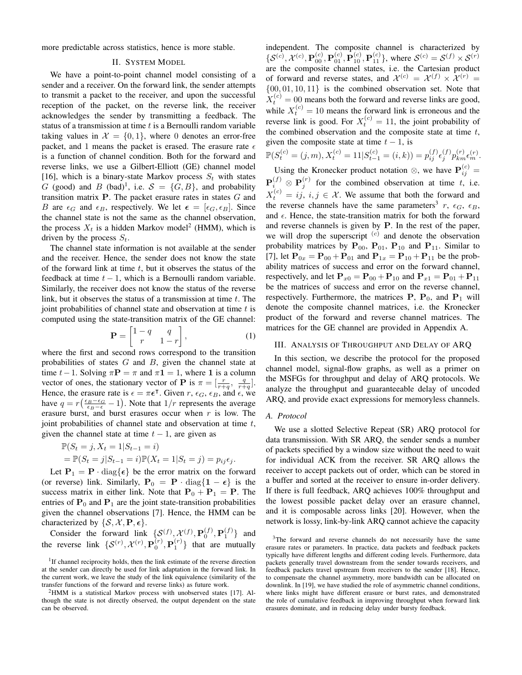more predictable across statistics, hence is more stable.

#### II. SYSTEM MODEL

We have a point-to-point channel model consisting of a sender and a receiver. On the forward link, the sender attempts to transmit a packet to the receiver, and upon the successful reception of the packet, on the reverse link, the receiver acknowledges the sender by transmitting a feedback. The status of a transmission at time  $t$  is a Bernoulli random variable taking values in  $\mathcal{X} = \{0, 1\}$ , where 0 denotes an error-free packet, and 1 means the packet is erased. The erasure rate  $\epsilon$ is a function of channel condition. Both for the forward and reverse links, we use a Gilbert-Elliott (GE) channel model [16], which is a binary-state Markov process  $S_t$  with states G (good) and B (bad)<sup>1</sup>, i.e.  $S = \{G, B\}$ , and probability transition matrix  $P$ . The packet erasure rates in states  $G$  and B are  $\epsilon_G$  and  $\epsilon_B$ , respectively. We let  $\epsilon = [\epsilon_G, \epsilon_B]$ . Since the channel state is not the same as the channel observation, the process  $X_t$  is a hidden Markov model<sup>2</sup> (HMM), which is driven by the process  $S_t$ .

The channel state information is not available at the sender and the receiver. Hence, the sender does not know the state of the forward link at time  $t$ , but it observes the status of the feedback at time  $t - 1$ , which is a Bernoulli random variable. Similarly, the receiver does not know the status of the reverse link, but it observes the status of a transmission at time  $t$ . The joint probabilities of channel state and observation at time  $t$  is computed using the state-transition matrix of the GE channel:

$$
\mathbf{P} = \begin{bmatrix} 1 - q & q \\ r & 1 - r \end{bmatrix},\tag{1}
$$

where the first and second rows correspond to the transition probabilities of states  $G$  and  $B$ , given the channel state at time  $t-1$ . Solving  $\pi \mathbf{P} = \pi$  and  $\pi \mathbf{1} = 1$ , where 1 is a column vector of ones, the stationary vector of **P** is  $\pi = \left[\frac{r}{r+q}, \frac{q}{r+q}\right]$ . Hence, the erasure rate is  $\epsilon = \pi \epsilon^{\intercal}$ . Given  $r, \epsilon_G, \epsilon_B$ , and  $\epsilon$ , we have  $q = r\left(\frac{\epsilon_B - \epsilon_G}{\epsilon_B - \epsilon_I} - 1\right)$ . Note that  $1/r$  represents the average erasure burst, and burst erasures occur when  $r$  is low. The joint probabilities of channel state and observation at time  $t$ , given the channel state at time  $t - 1$ , are given as

$$
\mathbb{P}(S_t = j, X_t = 1 | S_{t-1} = i)
$$
  
= 
$$
\mathbb{P}(S_t = j | S_{t-1} = i) \mathbb{P}(X_t = 1 | S_t = j) = p_{ij} \epsilon_j.
$$

Let  $P_1 = P \cdot diag\{\epsilon\}$  be the error matrix on the forward (or reverse) link. Similarly,  $P_0 = P \cdot diag\{1 - \epsilon\}$  is the success matrix in either link. Note that  $P_0 + P_1 = P$ . The entries of  $P_0$  and  $P_1$  are the joint state-transition probabilities given the channel observations [7]. Hence, the HMM can be characterized by  $\{S, \mathcal{X}, \mathbf{P}, \epsilon\}.$ 

Consider the forward link  $\{S^{(f)}, \mathcal{X}^{(f)}, \mathbf{P}_0^{(f)}, \mathbf{P}_1^{(f)}\}$  and the reverse link  $\{S^{(r)}, \mathcal{X}^{(r)}, \mathbf{P}_0^{(r)}, \mathbf{P}_1^{(r)}\}$  that are mutually independent. The composite channel is characterized by  $\{S^{(c)}, \mathcal{X}^{(c)}, \mathbf{P}_{00}^{(c)}, \mathbf{P}_{01}^{(c)}, \mathbf{P}_{10}^{(c)}, \mathbf{P}_{11}^{(c)}\}$ , where  $\mathcal{S}^{(c)} = \mathcal{S}^{(f)} \times \mathcal{S}^{(r)}$ are the composite channel states, i.e. the Cartesian product of forward and reverse states, and  $\mathcal{X}^{(c)} = \mathcal{X}^{(f)} \times \mathcal{X}^{(r)} =$  $\{00, 01, 10, 11\}$  is the combined observation set. Note that  $X_t^{(c)} = 00$  means both the forward and reverse links are good, while  $X_t^{(c)} = 10$  means the forward link is erroneous and the reverse link is good. For  $X_t^{(c)} = 11$ , the joint probability of the combined observation and the composite state at time  $t$ , given the composite state at time  $t - 1$ , is

$$
\mathbb{P}(S_t^{(c)} = (j, m), X_t^{(c)} = 11 | S_{t-1}^{(c)} = (i, k)) = p_{ij}^{(f)} \epsilon_j^{(f)} p_{km}^{(r)} \epsilon_m^{(r)}.
$$
  
Using the Kronecker product notation  $\otimes$  we have  $\mathbf{P}^{(c)}$ 

Using the Kronecker product notation  $\otimes$ , we have  $\mathbf{P}_{ij}^{(c)}$  =  $\mathbf{P}_i^{(f)} \otimes \mathbf{P}_j^{(r)}$  for the combined observation at time t, i.e.  $X_t^{(c)} = ij, i, j \in \mathcal{X}$ . We assume that both the forward and the reverse channels have the same parameters<sup>3</sup> r,  $\epsilon_G$ ,  $\epsilon_B$ , and  $\epsilon$ . Hence, the state-transition matrix for both the forward and reverse channels is given by P. In the rest of the paper, we will drop the superscript  $(c)$  and denote the observation probability matrices by  $P_{00}$ ,  $P_{01}$ ,  $P_{10}$  and  $P_{11}$ . Similar to [7], let  $P_{0x} = P_{00} + P_{01}$  and  $P_{1x} = P_{10} + P_{11}$  be the probability matrices of success and error on the forward channel, respectively, and let  $P_{x0} = P_{00} + P_{10}$  and  $P_{x1} = P_{01} + P_{11}$ be the matrices of success and error on the reverse channel, respectively. Furthermore, the matrices  $P$ ,  $P_0$ , and  $P_1$  will denote the composite channel matrices, i.e. the Kronecker product of the forward and reverse channel matrices. The matrices for the GE channel are provided in Appendix A.

#### III. ANALYSIS OF THROUGHPUT AND DELAY OF ARQ

In this section, we describe the protocol for the proposed channel model, signal-flow graphs, as well as a primer on the MSFGs for throughput and delay of ARQ protocols. We analyze the throughput and guaranteeable delay of uncoded ARQ, and provide exact expressions for memoryless channels.

## *A. Protocol*

We use a slotted Selective Repeat (SR) ARQ protocol for data transmission. With SR ARQ, the sender sends a number of packets specified by a window size without the need to wait for individual ACK from the receiver. SR ARQ allows the receiver to accept packets out of order, which can be stored in a buffer and sorted at the receiver to ensure in-order delivery. If there is full feedback, ARQ achieves 100% throughput and the lowest possible packet delay over an erasure channel, and it is composable across links [20]. However, when the network is lossy, link-by-link ARQ cannot achieve the capacity

<sup>&</sup>lt;sup>1</sup>If channel reciprocity holds, then the link estimate of the reverse direction at the sender can directly be used for link adaptation in the forward link. In the current work, we leave the study of the link equivalence (similarity of the transfer functions of the forward and reverse links) as future work.

<sup>2</sup>HMM is a statistical Markov process with unobserved states [17]. Although the state is not directly observed, the output dependent on the state can be observed.

<sup>3</sup>The forward and reverse channels do not necessarily have the same erasure rates or parameters. In practice, data packets and feedback packets typically have different lengths and different coding levels. Furthermore, data packets generally travel downstream from the sender towards receivers, and feedback packets travel upstream from receivers to the sender [18]. Hence, to compensate the channel asymmetry, more bandwidth can be allocated on downlink. In [19], we have studied the role of asymmetric channel conditions, where links might have different erasure or burst rates, and demonstrated the role of cumulative feedback in improving throughput when forward link erasures dominate, and in reducing delay under bursty feedback.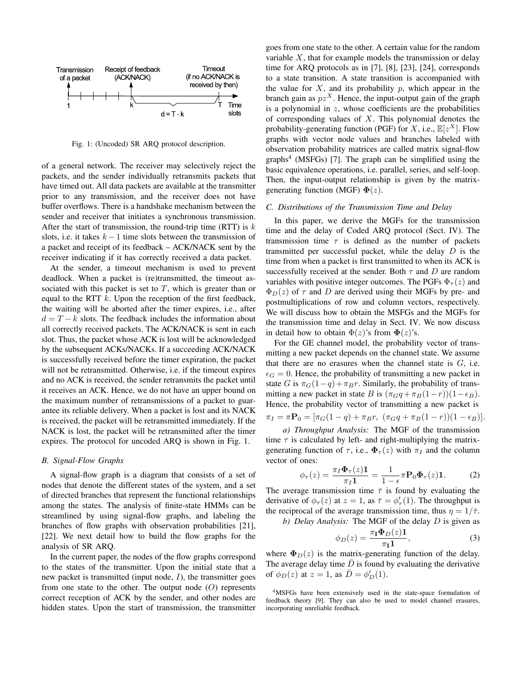

Fig. 1: (Uncoded) SR ARQ protocol description.

of a general network. The receiver may selectively reject the packets, and the sender individually retransmits packets that have timed out. All data packets are available at the transmitter prior to any transmission, and the receiver does not have buffer overflows. There is a handshake mechanism between the sender and receiver that initiates a synchronous transmission. After the start of transmission, the round-trip time (RTT) is  $k$ slots, i.e. it takes  $k - 1$  time slots between the transmission of a packet and receipt of its feedback – ACK/NACK sent by the receiver indicating if it has correctly received a data packet.

At the sender, a timeout mechanism is used to prevent deadlock. When a packet is (re)transmitted, the timeout associated with this packet is set to  $T$ , which is greater than or equal to the RTT  $k$ . Upon the reception of the first feedback, the waiting will be aborted after the timer expires, i.e., after  $d = T - k$  slots. The feedback includes the information about all correctly received packets. The ACK/NACK is sent in each slot. Thus, the packet whose ACK is lost will be acknowledged by the subsequent ACKs/NACKs. If a succeeding ACK/NACK is successfully received before the timer expiration, the packet will not be retransmitted. Otherwise, i.e. if the timeout expires and no ACK is received, the sender retransmits the packet until it receives an ACK. Hence, we do not have an upper bound on the maximum number of retransmissions of a packet to guarantee its reliable delivery. When a packet is lost and its NACK is received, the packet will be retransmitted immediately. If the NACK is lost, the packet will be retransmitted after the timer expires. The protocol for uncoded ARQ is shown in Fig. 1.

#### *B. Signal-Flow Graphs*

A signal-flow graph is a diagram that consists of a set of nodes that denote the different states of the system, and a set of directed branches that represent the functional relationships among the states. The analysis of finite-state HMMs can be streamlined by using signal-flow graphs, and labeling the branches of flow graphs with observation probabilities [21], [22]. We next detail how to build the flow graphs for the analysis of SR ARQ.

In the current paper, the nodes of the flow graphs correspond to the states of the transmitter. Upon the initial state that a new packet is transmitted (input node,  $I$ ), the transmitter goes from one state to the other. The output node  $(O)$  represents correct reception of ACK by the sender, and other nodes are hidden states. Upon the start of transmission, the transmitter goes from one state to the other. A certain value for the random variable  $X$ , that for example models the transmission or delay time for ARQ protocols as in [7], [8], [23], [24], corresponds to a state transition. A state transition is accompanied with the value for  $X$ , and its probability  $p$ , which appear in the branch gain as  $pz^X$ . Hence, the input-output gain of the graph is a polynomial in  $z$ , whose coefficients are the probabilities of corresponding values of  $X$ . This polynomial denotes the probability-generating function (PGF) for X, i.e.,  $\mathbb{E}[z^X]$ . Flow graphs with vector node values and branches labeled with observation probability matrices are called matrix signal-flow graphs<sup>4</sup> (MSFGs) [7]. The graph can be simplified using the basic equivalence operations, i.e. parallel, series, and self-loop. Then, the input-output relationship is given by the matrixgenerating function (MGF)  $\Phi(z)$ .

#### *C. Distributions of the Transmission Time and Delay*

In this paper, we derive the MGFs for the transmission time and the delay of Coded ARQ protocol (Sect. IV). The transmission time  $\tau$  is defined as the number of packets transmitted per successful packet, while the delay  $D$  is the time from when a packet is first transmitted to when its ACK is successfully received at the sender. Both  $\tau$  and  $D$  are random variables with positive integer outcomes. The PGFs  $\Phi_{\tau}(z)$  and  $\Phi_D(z)$  of  $\tau$  and D are derived using their MGFs by pre- and postmultiplications of row and column vectors, respectively. We will discuss how to obtain the MSFGs and the MGFs for the transmission time and delay in Sect. IV. We now discuss in detail how to obtain  $\Phi(z)$ 's from  $\Phi(z)$ 's.

For the GE channel model, the probability vector of transmitting a new packet depends on the channel state. We assume that there are no erasures when the channel state is  $G$ , i.e.  $\epsilon_G = 0$ . Hence, the probability of transmitting a new packet in state G is  $\pi_G(1-q) + \pi_B r$ . Similarly, the probability of transmitting a new packet in state B is  $(\pi_G q + \pi_B(1-r))(1-\epsilon_B)$ . Hence, the probability vector of transmitting a new packet is  $\pi_I = \pi \mathbf{P}_0 = [\pi_G(1-q) + \pi_B r, (\pi_G q + \pi_B (1-r))(1-\epsilon_B)].$ 

*a) Throughput Analysis:* The MGF of the transmission time  $\tau$  is calculated by left- and right-multiplying the matrixgenerating function of  $\tau$ , i.e.,  $\Phi_{\tau}(z)$  with  $\pi_{I}$  and the column vector of ones:

$$
\phi_{\tau}(z) = \frac{\pi_I \Phi_{\tau}(z) \mathbf{1}}{\pi_I \mathbf{1}} = \frac{1}{1 - \epsilon} \pi \mathbf{P}_0 \Phi_{\tau}(z) \mathbf{1}.
$$
 (2)

The average transmission time  $\bar{\tau}$  is found by evaluating the derivative of  $\phi_\tau(z)$  at  $z = 1$ , as  $\bar{\tau} = \phi'_\tau(1)$ . The throughput is the reciprocal of the average transmission time, thus  $\eta = 1/\overline{\tau}$ .

*b) Delay Analysis:* The MGF of the delay D is given as

$$
\phi_D(z) = \frac{\pi_\mathbf{I} \Phi_D(z) \mathbf{1}}{\pi_\mathbf{I} \mathbf{1}},\tag{3}
$$

where  $\Phi_D(z)$  is the matrix-generating function of the delay. The average delay time  $D$  is found by evaluating the derivative of  $\phi_D(z)$  at  $z = 1$ , as  $\overline{D} = \phi'_D(1)$ .

<sup>4</sup>MSFGs have been extensively used in the state-space formulation of feedback theory [9]. They can also be used to model channel erasures, incorporating unreliable feedback.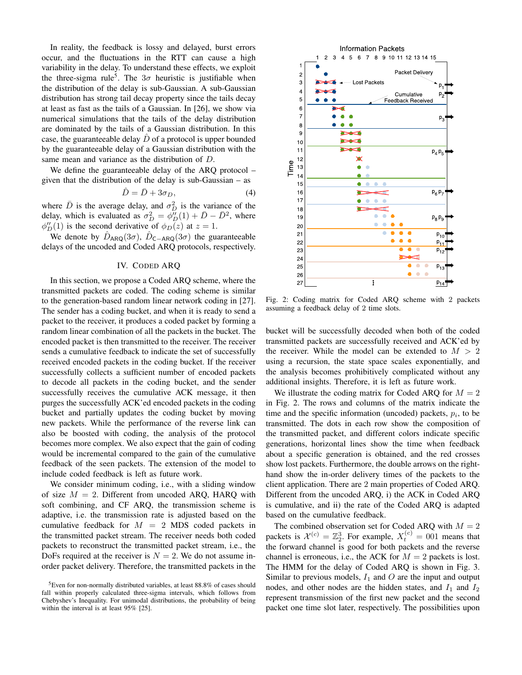In reality, the feedback is lossy and delayed, burst errors occur, and the fluctuations in the RTT can cause a high variability in the delay. To understand these effects, we exploit the three-sigma rule<sup>5</sup>. The  $3\sigma$  heuristic is justifiable when the distribution of the delay is sub-Gaussian. A sub-Gaussian distribution has strong tail decay property since the tails decay at least as fast as the tails of a Gaussian. In [26], we show via numerical simulations that the tails of the delay distribution are dominated by the tails of a Gaussian distribution. In this case, the guaranteeable delay  $\ddot{D}$  of a protocol is upper bounded by the guaranteeable delay of a Gaussian distribution with the same mean and variance as the distribution of D.

We define the guaranteeable delay of the ARQ protocol – given that the distribution of the delay is sub-Gaussian – as

$$
\hat{D} = \bar{D} + 3\sigma_D,\tag{4}
$$

where  $\bar{D}$  is the average delay, and  $\sigma_D^2$  is the variance of the delay, which is evaluated as  $\sigma_D^2 = \phi_D^{\prime\prime}(1) + \bar{D} - \bar{D}^2$ , where  $\phi''_D(1)$  is the second derivative of  $\phi_D(z)$  at  $z=1$ .

We denote by  $\hat{D}_{\text{ARQ}}(3\sigma)$ ,  $\hat{D}_{\text{C}-\text{ARQ}}(3\sigma)$  the guaranteeable delays of the uncoded and Coded ARQ protocols, respectively.

## IV. CODED ARQ

In this section, we propose a Coded ARQ scheme, where the transmitted packets are coded. The coding scheme is similar to the generation-based random linear network coding in [27]. The sender has a coding bucket, and when it is ready to send a packet to the receiver, it produces a coded packet by forming a random linear combination of all the packets in the bucket. The encoded packet is then transmitted to the receiver. The receiver sends a cumulative feedback to indicate the set of successfully received encoded packets in the coding bucket. If the receiver successfully collects a sufficient number of encoded packets to decode all packets in the coding bucket, and the sender successfully receives the cumulative ACK message, it then purges the successfully ACK'ed encoded packets in the coding bucket and partially updates the coding bucket by moving new packets. While the performance of the reverse link can also be boosted with coding, the analysis of the protocol becomes more complex. We also expect that the gain of coding would be incremental compared to the gain of the cumulative feedback of the seen packets. The extension of the model to include coded feedback is left as future work.

We consider minimum coding, i.e., with a sliding window of size  $M = 2$ . Different from uncoded ARQ, HARQ with soft combining, and CF ARQ, the transmission scheme is adaptive, i.e. the transmission rate is adjusted based on the cumulative feedback for  $M = 2$  MDS coded packets in the transmitted packet stream. The receiver needs both coded packets to reconstruct the transmitted packet stream, i.e., the DoFs required at the receiver is  $N = 2$ . We do not assume inorder packet delivery. Therefore, the transmitted packets in the



Fig. 2: Coding matrix for Coded ARQ scheme with 2 packets assuming a feedback delay of 2 time slots.

bucket will be successfully decoded when both of the coded transmitted packets are successfully received and ACK'ed by the receiver. While the model can be extended to  $M > 2$ using a recursion, the state space scales exponentially, and the analysis becomes prohibitively complicated without any additional insights. Therefore, it is left as future work.

We illustrate the coding matrix for Coded ARQ for  $M = 2$ in Fig. 2. The rows and columns of the matrix indicate the time and the specific information (uncoded) packets,  $p_i$ , to be transmitted. The dots in each row show the composition of the transmitted packet, and different colors indicate specific generations, horizontal lines show the time when feedback about a specific generation is obtained, and the red crosses show lost packets. Furthermore, the double arrows on the righthand show the in-order delivery times of the packets to the client application. There are 2 main properties of Coded ARQ. Different from the uncoded ARQ, i) the ACK in Coded ARQ is cumulative, and ii) the rate of the Coded ARQ is adapted based on the cumulative feedback.

The combined observation set for Coded ARO with  $M = 2$ packets is  $\mathcal{X}^{(c)} = \mathbb{Z}_2^3$ . For example,  $X_t^{(c)} = 0.01$  means that the forward channel is good for both packets and the reverse channel is erroneous, i.e., the ACK for  $M = 2$  packets is lost. The HMM for the delay of Coded ARQ is shown in Fig. 3. Similar to previous models,  $I_1$  and O are the input and output nodes, and other nodes are the hidden states, and  $I_1$  and  $I_2$ represent transmission of the first new packet and the second packet one time slot later, respectively. The possibilities upon

 ${}^{5}$ Even for non-normally distributed variables, at least 88.8% of cases should fall within properly calculated three-sigma intervals, which follows from Chebyshev's Inequality. For unimodal distributions, the probability of being within the interval is at least 95% [25].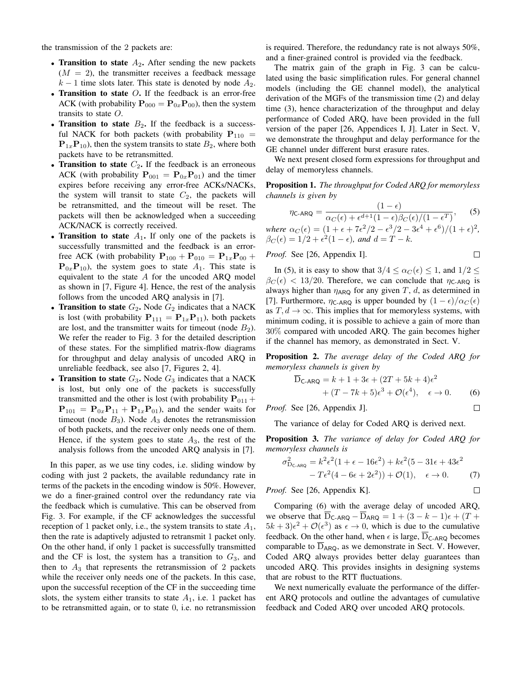the transmission of the 2 packets are:

- Transition to state  $A_2$ . After sending the new packets  $(M = 2)$ , the transmitter receives a feedback message  $k-1$  time slots later. This state is denoted by node  $A_2$ .
- Transition to state  $O$ . If the feedback is an error-free ACK (with probability  $\mathbf{P}_{000} = \mathbf{P}_{0x} \mathbf{P}_{00}$ ), then the system transits to state  $O$ .
- Transition to state  $B_2$ . If the feedback is a successful NACK for both packets (with probability  $P_{110}$  =  ${\bf P}_{1x}{\bf P}_{10}$ , then the system transits to state  $B_2$ , where both packets have to be retransmitted.
- Transition to state  $C_2$ . If the feedback is an erroneous ACK (with probability  $P_{001} = P_{0x}P_{01}$ ) and the timer expires before receiving any error-free ACKs/NACKs, the system will transit to state  $C_2$ , the packets will be retransmitted, and the timeout will be reset. The packets will then be acknowledged when a succeeding ACK/NACK is correctly received.
- Transition to state  $A_1$ . If only one of the packets is successfully transmitted and the feedback is an errorfree ACK (with probability  $P_{100} + P_{010} = P_{1x}P_{00} +$  ${\bf P}_{0x} {\bf P}_{10}$ , the system goes to state  $A_1$ . This state is equivalent to the state  $A$  for the uncoded ARQ model as shown in [7, Figure 4]. Hence, the rest of the analysis follows from the uncoded ARQ analysis in [7].
- Transition to state  $G_2$ . Node  $G_2$  indicates that a NACK is lost (with probability  $P_{111} = P_{1x}P_{11}$ ), both packets are lost, and the transmitter waits for timeout (node  $B_2$ ). We refer the reader to Fig. 3 for the detailed description of these states. For the simplified matrix-flow diagrams for throughput and delay analysis of uncoded ARQ in unreliable feedback, see also [7, Figures 2, 4].
- Transition to state  $G_3$ . Node  $G_3$  indicates that a NACK is lost, but only one of the packets is successfully transmitted and the other is lost (with probability  $P_{011}$  +  $P_{101} = P_{0x}P_{11} + P_{1x}P_{01}$ , and the sender waits for timeout (node  $B_3$ ). Node  $A_3$  denotes the retransmission of both packets, and the receiver only needs one of them. Hence, if the system goes to state  $A_3$ , the rest of the analysis follows from the uncoded ARQ analysis in [7].

In this paper, as we use tiny codes, i.e. sliding window by coding with just 2 packets, the available redundancy rate in terms of the packets in the encoding window is 50%. However, we do a finer-grained control over the redundancy rate via the feedback which is cumulative. This can be observed from Fig. 3. For example, if the CF acknowledges the successful reception of 1 packet only, i.e., the system transits to state  $A_1$ , then the rate is adaptively adjusted to retransmit 1 packet only. On the other hand, if only 1 packet is successfully transmitted and the CF is lost, the system has a transition to  $G_3$ , and then to  $A_3$  that represents the retransmission of 2 packets while the receiver only needs one of the packets. In this case, upon the successful reception of the CF in the succeeding time slots, the system either transits to state  $A_1$ , i.e. 1 packet has to be retransmitted again, or to state 0, i.e. no retransmission is required. Therefore, the redundancy rate is not always 50%, and a finer-grained control is provided via the feedback.

The matrix gain of the graph in Fig. 3 can be calculated using the basic simplification rules. For general channel models (including the GE channel model), the analytical derivation of the MGFs of the transmission time (2) and delay time (3), hence characterization of the throughput and delay performance of Coded ARQ, have been provided in the full version of the paper [26, Appendices I, J]. Later in Sect. V, we demonstrate the throughput and delay performance for the GE channel under different burst erasure rates.

We next present closed form expressions for throughput and delay of memoryless channels.

Proposition 1. *The throughput for Coded ARQ for memoryless channels is given by*

$$
\eta_{\text{C-ARQ}} = \frac{(1 - \epsilon)}{\alpha_C(\epsilon) + \epsilon^{d+1}(1 - \epsilon)\beta_C(\epsilon)/(1 - \epsilon^T)},\tag{5}
$$

*where*  $\alpha_C(\epsilon) = (1 + \epsilon + 7\epsilon^2/2 - \epsilon^3/2 - 3\epsilon^4 + \epsilon^6)/(1 + \epsilon)^2$ ,  $\beta_C(\epsilon) = 1/2 + \epsilon^2(1 - \epsilon)$ *, and*  $d = T - k$ *.* 

*Proof.* See [26, Appendix I]. 
$$
\square
$$

In (5), it is easy to show that  $3/4 \leq \alpha_C(\epsilon) \leq 1$ , and  $1/2 \leq$  $\beta_C(\epsilon)$  < 13/20. Therefore, we can conclude that  $\eta_{\text{C-ARQ}}$  is always higher than  $\eta_{ARQ}$  for any given T, d, as determined in [7]. Furthermore,  $\eta_{\text{C-ARQ}}$  is upper bounded by  $(1 - \epsilon)/\alpha_C(\epsilon)$ as  $T, d \rightarrow \infty$ . This implies that for memoryless systems, with minimum coding, it is possible to achieve a gain of more than 30% compared with uncoded ARQ. The gain becomes higher if the channel has memory, as demonstrated in Sect. V.

Proposition 2. *The average delay of the Coded ARQ for memoryless channels is given by*

$$
\overline{\mathbf{D}}_{\mathsf{C-ARQ}} = k + 1 + 3\epsilon + (2T + 5k + 4)\epsilon^2 + (T - 7k + 5)\epsilon^3 + \mathcal{O}(\epsilon^4), \quad \epsilon \to 0.
$$
 (6)

 $\Box$ 

*Proof.* See [26, Appendix J].

The variance of delay for Coded ARQ is derived next.

Proposition 3. *The variance of delay for Coded ARQ for memoryless channels is*

$$
\sigma_{D_{\text{C-ARQ}}}^2 = k^2 \epsilon^2 (1 + \epsilon - 16\epsilon^2) + k\epsilon^2 (5 - 31\epsilon + 43\epsilon^2 - T\epsilon^2 (4 - 6\epsilon + 2\epsilon^2)) + \mathcal{O}(1), \quad \epsilon \to 0.
$$
 (7)  
oof. See [26, Appendix K].

*Proof.* See [26, Appendix K].

Comparing (6) with the average delay of uncoded ARQ, we observe that  $\overline{D}_{\mathsf{C-ARQ}} - \overline{D}_{\mathsf{ARQ}} = 1 + (3 - k - 1)\epsilon + (T + \epsilon)$  $5k+3\epsilon^2+\mathcal{O}(\epsilon^3)$  as  $\epsilon\to 0$ , which is due to the cumulative feedback. On the other hand, when  $\epsilon$  is large,  $D_{C-ARG}$  becomes comparable to  $D_{ARQ}$ , as we demonstrate in Sect. V. However, Coded ARQ always provides better delay guarantees than uncoded ARQ. This provides insights in designing systems that are robust to the RTT fluctuations.

We next numerically evaluate the performance of the different ARQ protocols and outline the advantages of cumulative feedback and Coded ARQ over uncoded ARQ protocols.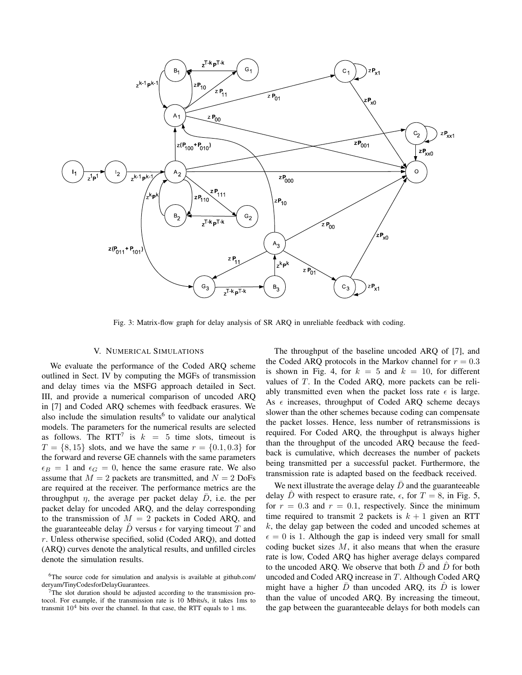

Fig. 3: Matrix-flow graph for delay analysis of SR ARQ in unreliable feedback with coding.

## V. NUMERICAL SIMULATIONS

We evaluate the performance of the Coded ARQ scheme outlined in Sect. IV by computing the MGFs of transmission and delay times via the MSFG approach detailed in Sect. III, and provide a numerical comparison of uncoded ARQ in [7] and Coded ARQ schemes with feedback erasures. We also include the simulation results<sup>6</sup> to validate our analytical models. The parameters for the numerical results are selected as follows. The RTT<sup>7</sup> is  $k = 5$  time slots, timeout is  $T = \{8, 15\}$  slots, and we have the same  $r = \{0.1, 0.3\}$  for the forward and reverse GE channels with the same parameters  $\epsilon_B = 1$  and  $\epsilon_G = 0$ , hence the same erasure rate. We also assume that  $M = 2$  packets are transmitted, and  $N = 2$  DoFs are required at the receiver. The performance metrics are the throughput  $\eta$ , the average per packet delay  $\overline{D}$ , i.e. the per packet delay for uncoded ARQ, and the delay corresponding to the transmission of  $M = 2$  packets in Coded ARQ, and the guaranteeable delay  $\hat{D}$  versus  $\epsilon$  for varying timeout T and r. Unless otherwise specified, solid (Coded ARQ), and dotted (ARQ) curves denote the analytical results, and unfilled circles denote the simulation results.

The throughput of the baseline uncoded ARQ of [7], and the Coded ARQ protocols in the Markov channel for  $r = 0.3$ is shown in Fig. 4, for  $k = 5$  and  $k = 10$ , for different values of T. In the Coded ARQ, more packets can be reliably transmitted even when the packet loss rate  $\epsilon$  is large. As  $\epsilon$  increases, throughput of Coded ARQ scheme decays slower than the other schemes because coding can compensate the packet losses. Hence, less number of retransmissions is required. For Coded ARQ, the throughput is always higher than the throughput of the uncoded ARQ because the feedback is cumulative, which decreases the number of packets being transmitted per a successful packet. Furthermore, the transmission rate is adapted based on the feedback received.

We next illustrate the average delay  $\bar{D}$  and the guaranteeable delay D with respect to erasure rate,  $\epsilon$ , for  $T = 8$ , in Fig. 5, for  $r = 0.3$  and  $r = 0.1$ , respectively. Since the minimum time required to transmit 2 packets is  $k + 1$  given an RTT  $k$ , the delay gap between the coded and uncoded schemes at  $\epsilon = 0$  is 1. Although the gap is indeed very small for small coding bucket sizes  $M$ , it also means that when the erasure rate is low, Coded ARQ has higher average delays compared to the uncoded ARQ. We observe that both  $\bar{D}$  and  $\hat{D}$  for both uncoded and Coded ARQ increase in T. Although Coded ARQ might have a higher  $\bar{D}$  than uncoded ARQ, its  $\bar{D}$  is lower than the value of uncoded ARQ. By increasing the timeout, the gap between the guaranteeable delays for both models can

<sup>6</sup>The source code for simulation and analysis is available at github.com/ deryam/TinyCodesforDelayGuarantees.

<sup>&</sup>lt;sup>7</sup>The slot duration should be adjusted according to the transmission protocol. For example, if the transmission rate is 10 Mbits/s, it takes 1ms to transmit  $10^4$  bits over the channel. In that case, the RTT equals to 1 ms.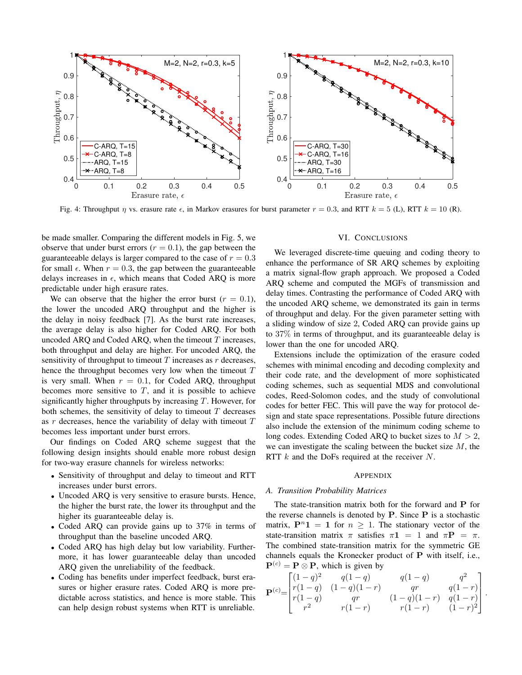

Fig. 4: Throughput  $\eta$  vs. erasure rate  $\epsilon$ , in Markov erasures for burst parameter  $r = 0.3$ , and RTT  $k = 5$  (L), RTT  $k = 10$  (R).

be made smaller. Comparing the different models in Fig. 5, we observe that under burst errors ( $r = 0.1$ ), the gap between the guaranteeable delays is larger compared to the case of  $r = 0.3$ for small  $\epsilon$ . When  $r = 0.3$ , the gap between the guaranteeable delays increases in  $\epsilon$ , which means that Coded ARQ is more predictable under high erasure rates.

We can observe that the higher the error burst ( $r = 0.1$ ), the lower the uncoded ARQ throughput and the higher is the delay in noisy feedback [7]. As the burst rate increases, the average delay is also higher for Coded ARQ. For both uncoded ARQ and Coded ARQ, when the timeout  $T$  increases, both throughput and delay are higher. For uncoded ARQ, the sensitivity of throughput to timeout  $T$  increases as  $r$  decreases, hence the throughput becomes very low when the timeout T is very small. When  $r = 0.1$ , for Coded ARQ, throughput becomes more sensitive to  $T$ , and it is possible to achieve significantly higher throughputs by increasing  $T$ . However, for both schemes, the sensitivity of delay to timeout  $T$  decreases as  $r$  decreases, hence the variability of delay with timeout  $T$ becomes less important under burst errors.

Our findings on Coded ARQ scheme suggest that the following design insights should enable more robust design for two-way erasure channels for wireless networks:

- Sensitivity of throughput and delay to timeout and RTT increases under burst errors.
- Uncoded ARQ is very sensitive to erasure bursts. Hence, the higher the burst rate, the lower its throughput and the higher its guaranteeable delay is.
- Coded ARQ can provide gains up to 37% in terms of throughput than the baseline uncoded ARQ.
- Coded ARQ has high delay but low variability. Furthermore, it has lower guaranteeable delay than uncoded ARQ given the unreliability of the feedback.
- Coding has benefits under imperfect feedback, burst erasures or higher erasure rates. Coded ARQ is more predictable across statistics, and hence is more stable. This can help design robust systems when RTT is unreliable.

#### VI. CONCLUSIONS

We leveraged discrete-time queuing and coding theory to enhance the performance of SR ARQ schemes by exploiting a matrix signal-flow graph approach. We proposed a Coded ARQ scheme and computed the MGFs of transmission and delay times. Contrasting the performance of Coded ARQ with the uncoded ARQ scheme, we demonstrated its gain in terms of throughput and delay. For the given parameter setting with a sliding window of size 2, Coded ARQ can provide gains up to 37% in terms of throughput, and its guaranteeable delay is lower than the one for uncoded ARQ.

Extensions include the optimization of the erasure coded schemes with minimal encoding and decoding complexity and their code rate, and the development of more sophisticated coding schemes, such as sequential MDS and convolutional codes, Reed-Solomon codes, and the study of convolutional codes for better FEC. This will pave the way for protocol design and state space representations. Possible future directions also include the extension of the minimum coding scheme to long codes. Extending Coded ARQ to bucket sizes to  $M > 2$ , we can investigate the scaling between the bucket size  $M$ , the RTT  $k$  and the DoFs required at the receiver  $N$ .

## APPENDIX

#### *A. Transition Probability Matrices*

The state-transition matrix both for the forward and P for the reverse channels is denoted by  $P$ . Since  $P$  is a stochastic matrix,  $P^n 1 = 1$  for  $n \ge 1$ . The stationary vector of the state-transition matrix  $\pi$  satisfies  $\pi \mathbf{1} = 1$  and  $\pi \mathbf{P} = \pi$ . The combined state-transition matrix for the symmetric GE channels equals the Kronecker product of P with itself, i.e.,  ${\bf P}^{(c)} = {\bf P} \otimes {\bf P}$ , which is given by

$$
\mathbf{P}^{(c)} = \begin{bmatrix} (1-q)^2 & q(1-q) & q(1-q) & q^2 \\ r(1-q) & (1-q)(1-r) & qr & q(1-r) \\ r(1-q) & qr & (1-q)(1-r) & q(1-r) \\ r^2 & r(1-r) & r(1-r) & (1-r)^2 \end{bmatrix}
$$

.